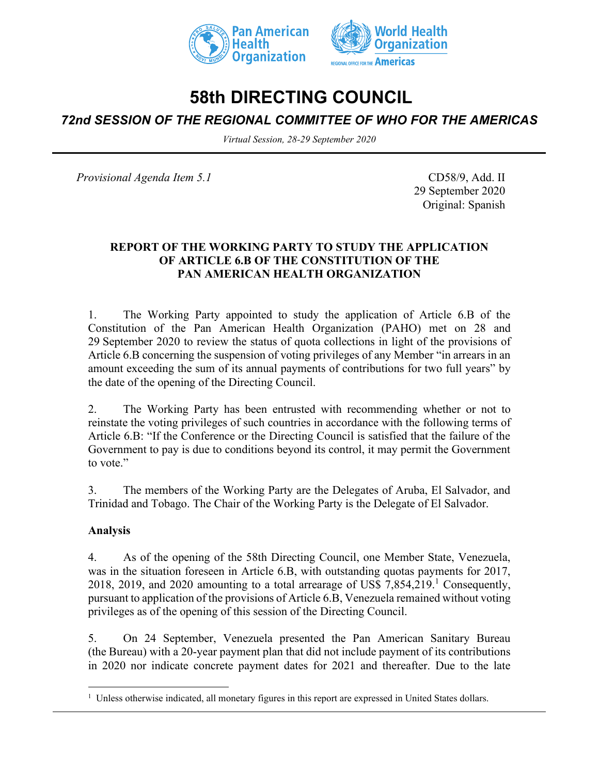



# **58th DIRECTING COUNCIL**

# *72nd SESSION OF THE REGIONAL COMMITTEE OF WHO FOR THE AMERICAS*

*Virtual Session, 28-29 September 2020*

*Provisional Agenda Item 5.1* CD58/9, Add. II

29 September 2020 Original: Spanish

## **REPORT OF THE WORKING PARTY TO STUDY THE APPLICATION OF ARTICLE 6.B OF THE CONSTITUTION OF THE PAN AMERICAN HEALTH ORGANIZATION**

1. The Working Party appointed to study the application of Article 6.B of the Constitution of the Pan American Health Organization (PAHO) met on 28 and 29 September 2020 to review the status of quota collections in light of the provisions of Article 6.B concerning the suspension of voting privileges of any Member "in arrears in an amount exceeding the sum of its annual payments of contributions for two full years" by the date of the opening of the Directing Council.

2. The Working Party has been entrusted with recommending whether or not to reinstate the voting privileges of such countries in accordance with the following terms of Article 6.B: "If the Conference or the Directing Council is satisfied that the failure of the Government to pay is due to conditions beyond its control, it may permit the Government to vote."

3. The members of the Working Party are the Delegates of Aruba, El Salvador, and Trinidad and Tobago. The Chair of the Working Party is the Delegate of El Salvador.

## **Analysis**

4. As of the opening of the 58th Directing Council, one Member State, Venezuela, was in the situation foreseen in Article 6.B, with outstanding quotas payments for 2017, 2018, 2019, and 2020 amounting to a total arrearage of US\$  $7,854,219$ <sup>1</sup> Consequently, pursuant to application of the provisions of Article 6.B, Venezuela remained without voting privileges as of the opening of this session of the Directing Council.

5. On 24 September, Venezuela presented the Pan American Sanitary Bureau (the Bureau) with a 20-year payment plan that did not include payment of its contributions in 2020 nor indicate concrete payment dates for 2021 and thereafter. Due to the late

<sup>&</sup>lt;sup>1</sup> Unless otherwise indicated, all monetary figures in this report are expressed in United States dollars.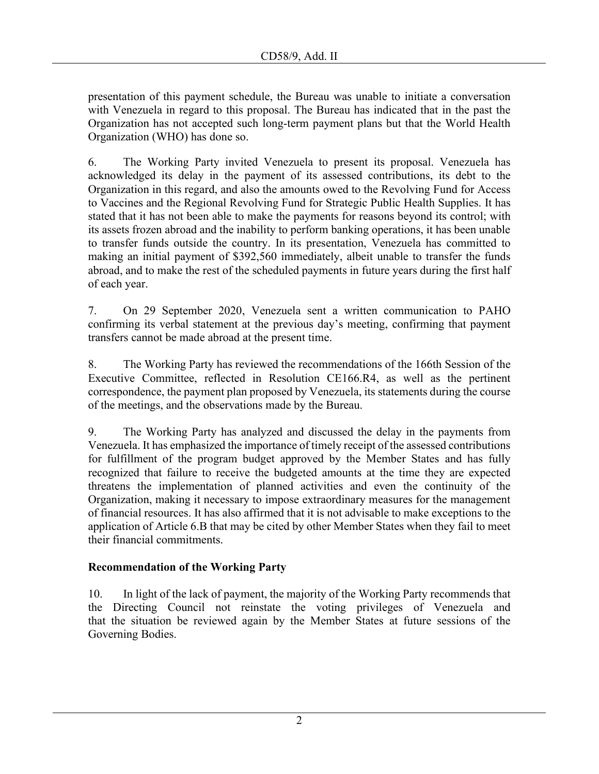presentation of this payment schedule, the Bureau was unable to initiate a conversation with Venezuela in regard to this proposal. The Bureau has indicated that in the past the Organization has not accepted such long-term payment plans but that the World Health Organization (WHO) has done so.

6. The Working Party invited Venezuela to present its proposal. Venezuela has acknowledged its delay in the payment of its assessed contributions, its debt to the Organization in this regard, and also the amounts owed to the Revolving Fund for Access to Vaccines and the Regional Revolving Fund for Strategic Public Health Supplies. It has stated that it has not been able to make the payments for reasons beyond its control; with its assets frozen abroad and the inability to perform banking operations, it has been unable to transfer funds outside the country. In its presentation, Venezuela has committed to making an initial payment of \$392,560 immediately, albeit unable to transfer the funds abroad, and to make the rest of the scheduled payments in future years during the first half of each year.

7. On 29 September 2020, Venezuela sent a written communication to PAHO confirming its verbal statement at the previous day's meeting, confirming that payment transfers cannot be made abroad at the present time.

8. The Working Party has reviewed the recommendations of the 166th Session of the Executive Committee, reflected in Resolution CE166.R4, as well as the pertinent correspondence, the payment plan proposed by Venezuela, its statements during the course of the meetings, and the observations made by the Bureau.

9. The Working Party has analyzed and discussed the delay in the payments from Venezuela. It has emphasized the importance of timely receipt of the assessed contributions for fulfillment of the program budget approved by the Member States and has fully recognized that failure to receive the budgeted amounts at the time they are expected threatens the implementation of planned activities and even the continuity of the Organization, making it necessary to impose extraordinary measures for the management of financial resources. It has also affirmed that it is not advisable to make exceptions to the application of Article 6.B that may be cited by other Member States when they fail to meet their financial commitments.

## **Recommendation of the Working Party**

10. In light of the lack of payment, the majority of the Working Party recommends that the Directing Council not reinstate the voting privileges of Venezuela and that the situation be reviewed again by the Member States at future sessions of the Governing Bodies.